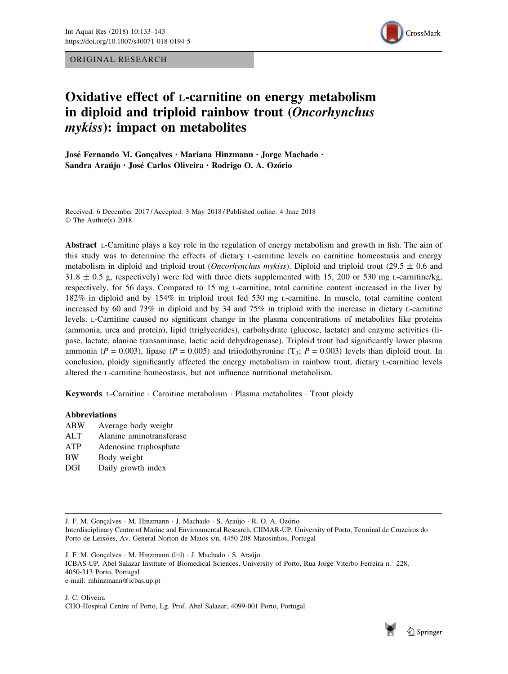ORIGINAL RESEARCH



# Oxidative effect of L-carnitine on energy metabolism in diploid and triploid rainbow trout (Oncorhynchus mykiss): impact on metabolites

José Fernando M. Goncalves · Mariana Hinzmann · Jorge Machado · Sandra Araújo · José Carlos Oliveira · Rodrigo O. A. Ozório

Received: 6 December 2017 / Accepted: 3 May 2018 / Published online: 4 June 2018 © The Author(s) 2018

Abstract L-Carnitine plays a key role in the regulation of energy metabolism and growth in fish. The aim of this study was to determine the effects of dietary L-carnitine levels on carnitine homeostasis and energy metabolism in diploid and triploid trout (*Oncorhynchus mykiss*). Diploid and triploid trout (29.5  $\pm$  0.6 and  $31.8 \pm 0.5$  g, respectively) were fed with three diets supplemented with 15, 200 or 530 mg L-carnitine/kg, respectively, for 56 days. Compared to 15 mg L-carnitine, total carnitine content increased in the liver by 182% in diploid and by 154% in triploid trout fed 530 mg L-carnitine. In muscle, total carnitine content increased by 60 and 73% in diploid and by 34 and 75% in triploid with the increase in dietary L-carnitine levels. L-Carnitine caused no significant change in the plasma concentrations of metabolites like proteins (ammonia, urea and protein), lipid (triglycerides), carbohydrate (glucose, lactate) and enzyme activities (lipase, lactate, alanine transaminase, lactic acid dehydrogenase). Triploid trout had significantly lower plasma ammonia ( $P = 0.003$ ), lipase ( $P = 0.005$ ) and triiodothyronine (T<sub>3</sub>;  $P = 0.003$ ) levels than diploid trout. In conclusion, ploidy significantly affected the energy metabolism in rainbow trout, dietary L-carnitine levels altered the L-carnitine homeostasis, but not influence nutritional metabolism.

Keywords L-Carnitine · Carnitine metabolism · Plasma metabolites · Trout ploidy

## Abbreviations

ABW Average body weight ALT Alanine aminotransferase ATP Adenosine triphosphate BW Body weight DGI Daily growth index

J. F. M. Gonçalves · M. Hinzmann · J. Machado · S. Araújo · R. O. A. Ozório Interdisciplinary Centre of Marine and Environmental Research, CIIMAR-UP, University of Porto, Terminal de Cruzeiros do Porto de Leixões, Av. General Norton de Matos s/n, 4450-208 Matosinhos, Portugal

J. F. M. Gonçalves · M. Hinzmann (⊠) · J. Machado · S. Araújo ICBAS-UP, Abel Salazar Institute of Biomedical Sciences, University of Porto, Rua Jorge Viterbo Ferreira n.º 228, 4050-313 Porto, Portugal e-mail: mhinzmann@icbas.up.pt

J. C. Oliveira CHO-Hospital Centre of Porto, Lg. Prof. Abel Salazar, 4099-001 Porto, Portugal

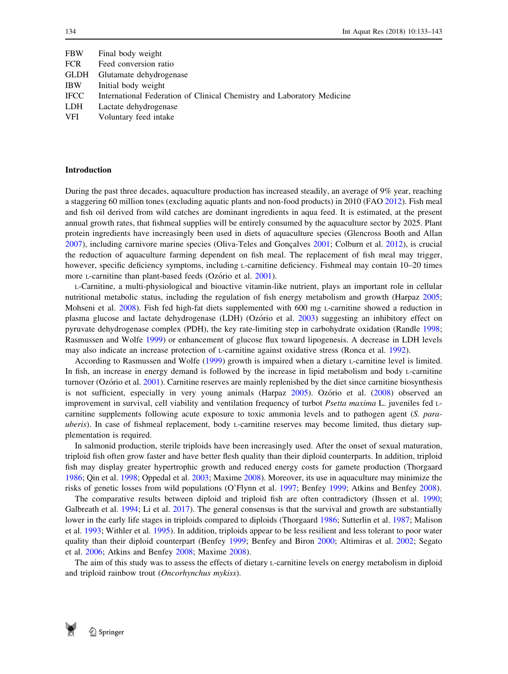| FBW         | Final body weight                                                      |
|-------------|------------------------------------------------------------------------|
| <b>FCR</b>  | Feed conversion ratio                                                  |
| GLDH        | Glutamate dehydrogenase                                                |
| <b>IBW</b>  | Initial body weight                                                    |
| <b>IFCC</b> | International Federation of Clinical Chemistry and Laboratory Medicine |
| LDH         | Lactate dehydrogenase                                                  |
| VFI         | Voluntary feed intake                                                  |

#### Introduction

During the past three decades, aquaculture production has increased steadily, an average of 9% year, reaching a staggering 60 million tones (excluding aquatic plants and non-food products) in 2010 (FAO [2012](#page-8-0)). Fish meal and fish oil derived from wild catches are dominant ingredients in aqua feed. It is estimated, at the present annual growth rates, that fishmeal supplies will be entirely consumed by the aquaculture sector by 2025. Plant protein ingredients have increasingly been used in diets of aquaculture species (Glencross Booth and Allan  $2007$ ), including carnivore marine species (Oliva-Teles and Goncalves  $2001$ ; Colburn et al.  $2012$ ), is crucial the reduction of aquaculture farming dependent on fish meal. The replacement of fish meal may trigger, however, specific deficiency symptoms, including *L*-carnitine deficiency. Fishmeal may contain 10–20 times more *L*-carnitine than plant-based feeds (Ozório et al. [2001](#page-9-0)).

L-Carnitine, a multi-physiological and bioactive vitamin-like nutrient, plays an important role in cellular nutritional metabolic status, including the regulation of fish energy metabolism and growth (Harpaz [2005;](#page-8-0) Mohseni et al. [2008\)](#page-9-0). Fish fed high-fat diets supplemented with 600 mg L-carnitine showed a reduction in plasma glucose and lactate dehydrogenase (LDH) (Ozório et al. [2003\)](#page-9-0) suggesting an inhibitory effect on pyruvate dehydrogenase complex (PDH), the key rate-limiting step in carbohydrate oxidation (Randle [1998;](#page-9-0) Rasmussen and Wolfe [1999](#page-9-0)) or enhancement of glucose flux toward lipogenesis. A decrease in LDH levels may also indicate an increase protection of L-carnitine against oxidative stress (Ronca et al. [1992](#page-9-0)).

According to Rasmussen and Wolfe ([1999\)](#page-9-0) growth is impaired when a dietary L-carnitine level is limited. In fish, an increase in energy demand is followed by the increase in lipid metabolism and body L-carnitine turnover (Ozório et al. [2001\)](#page-9-0). Carnitine reserves are mainly replenished by the diet since carnitine biosynthesis is not sufficient, especially in very young animals (Harpaz  $2005$ ). Ozório et al. [\(2008](#page-9-0)) observed an improvement in survival, cell viability and ventilation frequency of turbot *Psetta maxima* L. juveniles fed Lcarnitine supplements following acute exposure to toxic ammonia levels and to pathogen agent (S. parauberis). In case of fishmeal replacement, body *L*-carnitine reserves may become limited, thus dietary supplementation is required.

In salmonid production, sterile triploids have been increasingly used. After the onset of sexual maturation, triploid fish often grow faster and have better flesh quality than their diploid counterparts. In addition, triploid fish may display greater hypertrophic growth and reduced energy costs for gamete production (Thorgaard [1986](#page-9-0); Qin et al. [1998](#page-9-0); Oppedal et al. [2003](#page-9-0); Maxime [2008](#page-9-0)). Moreover, its use in aquaculture may minimize the risks of genetic losses from wild populations (O'Flynn et al. [1997;](#page-9-0) Benfey [1999](#page-8-0); Atkins and Benfey [2008](#page-8-0)).

The comparative results between diploid and triploid fish are often contradictory (Ihssen et al. [1990;](#page-9-0) Galbreath et al. [1994](#page-8-0); Li et al. [2017\)](#page-9-0). The general consensus is that the survival and growth are substantially lower in the early life stages in triploids compared to diploids (Thorgaard [1986](#page-9-0); Sutterlin et al. [1987](#page-9-0); Malison et al. [1993;](#page-9-0) Withler et al. [1995\)](#page-10-0). In addition, triploids appear to be less resilient and less tolerant to poor water quality than their diploid counterpart (Benfey [1999;](#page-8-0) Benfey and Biron [2000](#page-8-0); Altimiras et al. [2002;](#page-8-0) Segato et al. [2006](#page-9-0); Atkins and Benfey [2008](#page-8-0); Maxime [2008](#page-9-0)).

The aim of this study was to assess the effects of dietary L-carnitine levels on energy metabolism in diploid and triploid rainbow trout (Oncorhynchus mykiss).

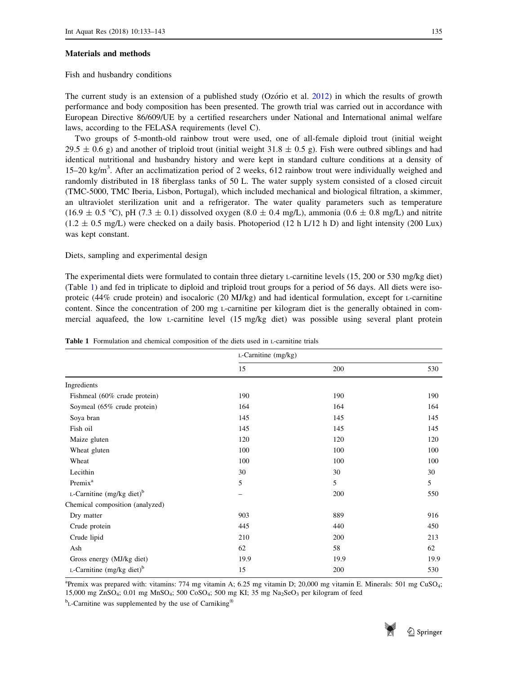#### Materials and methods

## Fish and husbandry conditions

The current study is an extension of a published study (Ozório et al.  $2012$ ) in which the results of growth performance and body composition has been presented. The growth trial was carried out in accordance with European Directive 86/609/UE by a certified researchers under National and International animal welfare laws, according to the FELASA requirements (level C).

Two groups of 5-month-old rainbow trout were used, one of all-female diploid trout (initial weight 29.5  $\pm$  0.6 g) and another of triploid trout (initial weight 31.8  $\pm$  0.5 g). Fish were outbred siblings and had identical nutritional and husbandry history and were kept in standard culture conditions at a density of 15–20 kg/m<sup>3</sup>. After an acclimatization period of 2 weeks, 612 rainbow trout were individually weighed and randomly distributed in 18 fiberglass tanks of 50 L. The water supply system consisted of a closed circuit (TMC-5000, TMC Iberia, Lisbon, Portugal), which included mechanical and biological filtration, a skimmer, an ultraviolet sterilization unit and a refrigerator. The water quality parameters such as temperature  $(16.9 \pm 0.5 \degree C)$ , pH (7.3  $\pm$  0.1) dissolved oxygen (8.0  $\pm$  0.4 mg/L), ammonia (0.6  $\pm$  0.8 mg/L) and nitrite  $(1.2 \pm 0.5 \text{ mg/L})$  were checked on a daily basis. Photoperiod (12 h L/12 h D) and light intensity (200 Lux) was kept constant.

Diets, sampling and experimental design

The experimental diets were formulated to contain three dietary L-carnitine levels (15, 200 or 530 mg/kg diet) (Table 1) and fed in triplicate to diploid and triploid trout groups for a period of 56 days. All diets were isoproteic (44% crude protein) and isocaloric (20 MJ/kg) and had identical formulation, except for L-carnitine content. Since the concentration of 200 mg L-carnitine per kilogram diet is the generally obtained in commercial aquafeed, the low L-carnitine level (15 mg/kg diet) was possible using several plant protein

|                                          | $L$ -Carnitine (mg/kg) |      |      |
|------------------------------------------|------------------------|------|------|
|                                          | 15                     | 200  | 530  |
| Ingredients                              |                        |      |      |
| Fishmeal (60% crude protein)             | 190                    | 190  | 190  |
| Soymeal (65% crude protein)              | 164                    | 164  | 164  |
| Soya bran                                | 145                    | 145  | 145  |
| Fish oil                                 | 145                    | 145  | 145  |
| Maize gluten                             | 120                    | 120  | 120  |
| Wheat gluten                             | 100                    | 100  | 100  |
| Wheat                                    | 100                    | 100  | 100  |
| Lecithin                                 | 30                     | 30   | 30   |
| Premix <sup>a</sup>                      | 5                      | 5    | 5    |
| L-Carnitine $(mg/kg$ diet) <sup>b</sup>  |                        | 200  | 550  |
| Chemical composition (analyzed)          |                        |      |      |
| Dry matter                               | 903                    | 889  | 916  |
| Crude protein                            | 445                    | 440  | 450  |
| Crude lipid                              | 210                    | 200  | 213  |
| Ash                                      | 62                     | 58   | 62   |
| Gross energy (MJ/kg diet)                | 19.9                   | 19.9 | 19.9 |
| $L$ -Carnitine (mg/kg diet) <sup>b</sup> | 15                     | 200  | 530  |

| <b>Table 1</b> Formulation and chemical composition of the diets used in L-carnitine trials |  |
|---------------------------------------------------------------------------------------------|--|
|---------------------------------------------------------------------------------------------|--|

<sup>a</sup>Premix was prepared with: vitamins: 774 mg vitamin A; 6.25 mg vitamin D; 20,000 mg vitamin E. Minerals: 501 mg CuSO<sub>4</sub>; 15,000 mg ZnSO<sub>4</sub>; 0.01 mg MnSO<sub>4</sub>; 500 CoSO<sub>4</sub>; 500 mg KI; 35 mg Na<sub>2</sub>SeO<sub>3</sub> per kilogram of feed

<sup>b</sup><sub>L</sub>-Carnitine was supplemented by the use of Carniking<sup>®</sup>

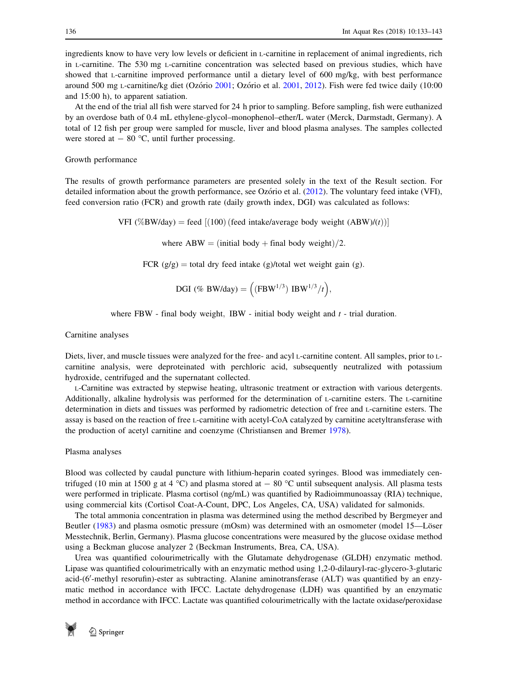ingredients know to have very low levels or deficient in L-carnitine in replacement of animal ingredients, rich in L-carnitine. The 530 mg L-carnitine concentration was selected based on previous studies, which have showed that L-carnitine improved performance until a dietary level of 600 mg/kg, with best performance around 500 mg L-carnitine/kg diet (Ozório [2001](#page-9-0); Ozório et al. [2001,](#page-9-0) [2012](#page-9-0)). Fish were fed twice daily (10:00 and 15:00 h), to apparent satiation.

At the end of the trial all fish were starved for 24 h prior to sampling. Before sampling, fish were euthanized by an overdose bath of 0.4 mL ethylene-glycol–monophenol–ether/L water (Merck, Darmstadt, Germany). A total of 12 fish per group were sampled for muscle, liver and blood plasma analyses. The samples collected were stored at  $-80$  °C, until further processing.

## Growth performance

The results of growth performance parameters are presented solely in the text of the Result section. For detailed information about the growth performance, see Ozório et al. ([2012\)](#page-9-0). The voluntary feed intake (VFI), feed conversion ratio (FCR) and growth rate (daily growth index, DGI) was calculated as follows:

VFI (%BW/day) = feed  $[(100)$  (feed intake/average body weight  $(ABW)/(t)$ )]

where ABW = (initial body + final body weight)/2.

FCR  $(g/g)$  = total dry feed intake  $(g)/\text{total}$  wet weight gain (g).

$$
DGI \text{ (\% BW/day)} = \left( \text{(FBW}^{1/3}) \text{ IBW}^{1/3} / t \right),
$$

where FBW - final body weight, IBW - initial body weight and  $t$  - trial duration.

Carnitine analyses

Diets, liver, and muscle tissues were analyzed for the free- and acyl L-carnitine content. All samples, prior to Lcarnitine analysis, were deproteinated with perchloric acid, subsequently neutralized with potassium hydroxide, centrifuged and the supernatant collected.

L-Carnitine was extracted by stepwise heating, ultrasonic treatment or extraction with various detergents. Additionally, alkaline hydrolysis was performed for the determination of L-carnitine esters. The L-carnitine determination in diets and tissues was performed by radiometric detection of free and L-carnitine esters. The assay is based on the reaction of free L-carnitine with acetyl-CoA catalyzed by carnitine acetyltransferase with the production of acetyl carnitine and coenzyme (Christiansen and Bremer [1978\)](#page-8-0).

Plasma analyses

Blood was collected by caudal puncture with lithium-heparin coated syringes. Blood was immediately centrifuged (10 min at 1500 g at 4 °C) and plasma stored at  $-$  80 °C until subsequent analysis. All plasma tests were performed in triplicate. Plasma cortisol (ng/mL) was quantified by Radioimmunoassay (RIA) technique, using commercial kits (Cortisol Coat-A-Count, DPC, Los Angeles, CA, USA) validated for salmonids.

The total ammonia concentration in plasma was determined using the method described by Bergmeyer and Beutler ([1983\)](#page-8-0) and plasma osmotic pressure (mOsm) was determined with an osmometer (model 15—Löser Messtechnik, Berlin, Germany). Plasma glucose concentrations were measured by the glucose oxidase method using a Beckman glucose analyzer 2 (Beckman Instruments, Brea, CA, USA).

Urea was quantified colourimetrically with the Glutamate dehydrogenase (GLDH) enzymatic method. Lipase was quantified colourimetrically with an enzymatic method using 1,2-0-dilauryl-rac-glycero-3-glutaric acid-(6'-methyl resorufin)-ester as subtracting. Alanine aminotransferase (ALT) was quantified by an enzymatic method in accordance with IFCC. Lactate dehydrogenase (LDH) was quantified by an enzymatic method in accordance with IFCC. Lactate was quantified colourimetrically with the lactate oxidase/peroxidase

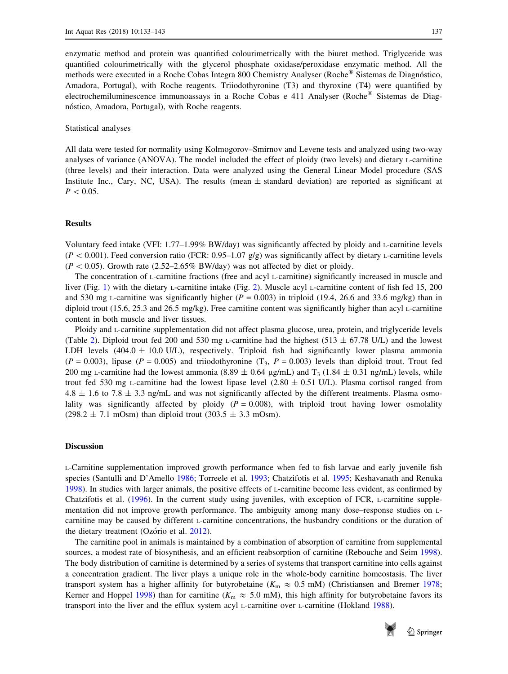enzymatic method and protein was quantified colourimetrically with the biuret method. Triglyceride was quantified colourimetrically with the glycerol phosphate oxidase/peroxidase enzymatic method. All the methods were executed in a Roche Cobas Integra 800 Chemistry Analyser (Roche<sup>®</sup> Sistemas de Diagnóstico, Amadora, Portugal), with Roche reagents. Triiodothyronine (T3) and thyroxine (T4) were quantified by electrochemiluminescence immunoassays in a Roche Cobas e 411 Analyser (Roche<sup>®</sup> Sistemas de Diagnóstico, Amadora, Portugal), with Roche reagents.

#### Statistical analyses

All data were tested for normality using Kolmogorov–Smirnov and Levene tests and analyzed using two-way analyses of variance (ANOVA). The model included the effect of ploidy (two levels) and dietary L-carnitine (three levels) and their interaction. Data were analyzed using the General Linear Model procedure (SAS Institute Inc., Cary, NC, USA). The results (mean  $\pm$  standard deviation) are reported as significant at  $P < 0.05$ .

## Results

Voluntary feed intake (VFI: 1.77–1.99% BW/day) was significantly affected by ploidy and L-carnitine levels  $(P < 0.001)$ . Feed conversion ratio (FCR: 0.95–1.07 g/g) was significantly affect by dietary L-carnitine levels  $(P < 0.05)$ . Growth rate (2.52–2.65% BW/day) was not affected by diet or ploidy.

The concentration of L-carnitine fractions (free and acyl L-carnitine) significantly increased in muscle and liver (Fig. [1\)](#page-5-0) with the dietary L-carnitine intake (Fig. [2\)](#page-6-0). Muscle acyl L-carnitine content of fish fed 15, 200 and 530 mg L-carnitine was significantly higher ( $P = 0.003$ ) in triploid (19.4, 26.6 and 33.6 mg/kg) than in diploid trout (15.6, 25.3 and 26.5 mg/kg). Free carnitine content was significantly higher than acyl L-carnitine content in both muscle and liver tissues.

Ploidy and L-carnitine supplementation did not affect plasma glucose, urea, protein, and triglyceride levels (Table [2](#page-7-0)). Diploid trout fed 200 and 530 mg L-carnitine had the highest (513  $\pm$  67.78 U/L) and the lowest LDH levels (404.0  $\pm$  10.0 U/L), respectively. Triploid fish had significantly lower plasma ammonia  $(P = 0.003)$ , lipase  $(P = 0.005)$  and triiodothyronine  $(T_3, P = 0.003)$  levels than diploid trout. Trout fed 200 mg L-carnitine had the lowest ammonia (8.89  $\pm$  0.64 µg/mL) and T<sub>3</sub> (1.84  $\pm$  0.31 ng/mL) levels, while trout fed 530 mg L-carnitine had the lowest lipase level  $(2.80 \pm 0.51 \text{ U/L})$ . Plasma cortisol ranged from  $4.8 \pm 1.6$  to  $7.8 \pm 3.3$  ng/mL and was not significantly affected by the different treatments. Plasma osmolality was significantly affected by ploidy ( $P = 0.008$ ), with triploid trout having lower osmolality  $(298.2 \pm 7.1 \text{ mOsm})$  than diploid trout  $(303.5 \pm 3.3 \text{ mOsm})$ .

#### Discussion

L-Carnitine supplementation improved growth performance when fed to fish larvae and early juvenile fish species (Santulli and D'Amello [1986](#page-9-0); Torreele et al. [1993;](#page-9-0) Chatzifotis et al. [1995;](#page-8-0) Keshavanath and Renuka [1998](#page-9-0)). In studies with larger animals, the positive effects of L-carnitine become less evident, as confirmed by Chatzifotis et al. [\(1996](#page-8-0)). In the current study using juveniles, with exception of FCR, L-carnitine supplementation did not improve growth performance. The ambiguity among many dose–response studies on Lcarnitine may be caused by different L-carnitine concentrations, the husbandry conditions or the duration of the dietary treatment (Ozório et al. [2012\)](#page-9-0).

The carnitine pool in animals is maintained by a combination of absorption of carnitine from supplemental sources, a modest rate of biosynthesis, and an efficient reabsorption of carnitine (Rebouche and Seim [1998\)](#page-9-0). The body distribution of carnitine is determined by a series of systems that transport carnitine into cells against a concentration gradient. The liver plays a unique role in the whole-body carnitine homeostasis. The liver transport system has a higher affinity for butyrobetaine ( $K_m \approx 0.5$  mM) (Christiansen and Bremer [1978;](#page-8-0) Kerner and Hoppel [1998\)](#page-9-0) than for carnitine ( $K_m \approx 5.0$  mM), this high affinity for butyrobetaine favors its transport into the liver and the efflux system acyl L-carnitine over L-carnitine (Hokland [1988](#page-9-0)).

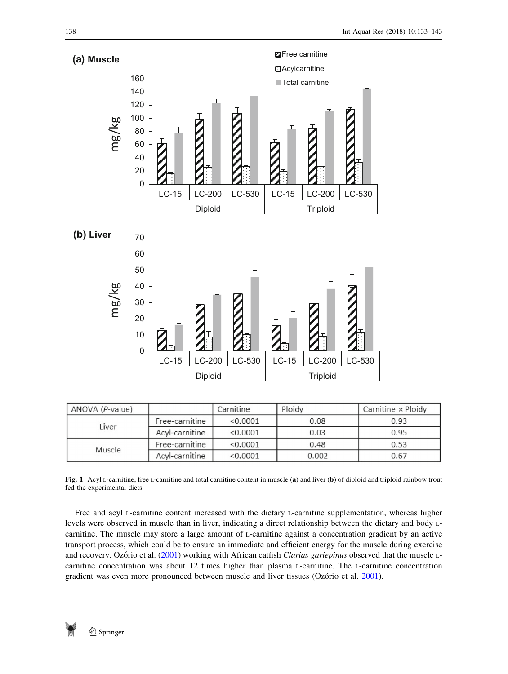<span id="page-5-0"></span>

| ANOVA (P-value) |                | Carnitine | Ploidy | Carnitine × Ploidy |
|-----------------|----------------|-----------|--------|--------------------|
| Liver           | Free-carnitine | < 0.0001  | 0.08   | 0.93               |
|                 | Acyl-carnitine | < 0.0001  | 0.03   | 0.95               |
| Muscle          | Free-carnitine | < 0.0001  | 0.48   | 0.53               |
|                 | Acyl-carnitine | < 0.0001  | 0.002  | 0.67               |

Fig. 1 Acyl L-carnitine, free L-carnitine and total carnitine content in muscle (a) and liver (b) of diploid and triploid rainbow trout fed the experimental diets

Free and acyl L-carnitine content increased with the dietary L-carnitine supplementation, whereas higher levels were observed in muscle than in liver, indicating a direct relationship between the dietary and body Lcarnitine. The muscle may store a large amount of L-carnitine against a concentration gradient by an active transport process, which could be to ensure an immediate and efficient energy for the muscle during exercise and recovery. Ozório et al. ([2001\)](#page-9-0) working with African catfish Clarias gariepinus observed that the muscle Lcarnitine concentration was about 12 times higher than plasma L-carnitine. The L-carnitine concentration gradient was even more pronounced between muscle and liver tissues (Ozório et al. [2001](#page-9-0)).

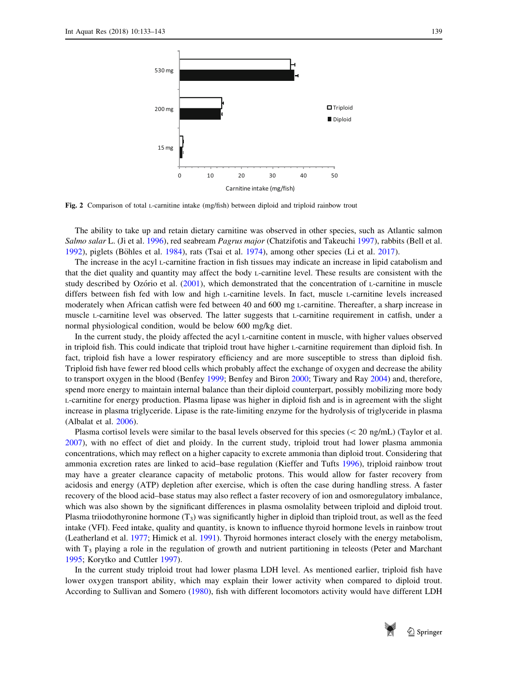<span id="page-6-0"></span>

Fig. 2 Comparison of total L-carnitine intake (mg/fish) between diploid and triploid rainbow trout

The ability to take up and retain dietary carnitine was observed in other species, such as Atlantic salmon Salmo salar L. (Ji et al. [1996\)](#page-9-0), red seabream *Pagrus major* (Chatzifotis and Takeuchi [1997](#page-8-0)), rabbits (Bell et al. [1992](#page-8-0)), piglets (Böhles et al. [1984\)](#page-8-0), rats (Tsai et al. [1974](#page-10-0)), among other species (Li et al. [2017](#page-9-0)).

The increase in the acyl L-carnitine fraction in fish tissues may indicate an increase in lipid catabolism and that the diet quality and quantity may affect the body L-carnitine level. These results are consistent with the study described by Ozório et al. ([2001\)](#page-9-0), which demonstrated that the concentration of L-carnitine in muscle differs between fish fed with low and high L-carnitine levels. In fact, muscle L-carnitine levels increased moderately when African catfish were fed between 40 and 600 mg L-carnitine. Thereafter, a sharp increase in muscle L-carnitine level was observed. The latter suggests that L-carnitine requirement in catfish, under a normal physiological condition, would be below 600 mg/kg diet.

In the current study, the ploidy affected the acyl L-carnitine content in muscle, with higher values observed in triploid fish. This could indicate that triploid trout have higher L-carnitine requirement than diploid fish. In fact, triploid fish have a lower respiratory efficiency and are more susceptible to stress than diploid fish. Triploid fish have fewer red blood cells which probably affect the exchange of oxygen and decrease the ability to transport oxygen in the blood (Benfey [1999;](#page-8-0) Benfey and Biron [2000;](#page-8-0) Tiwary and Ray [2004\)](#page-9-0) and, therefore, spend more energy to maintain internal balance than their diploid counterpart, possibly mobilizing more body L-carnitine for energy production. Plasma lipase was higher in diploid fish and is in agreement with the slight increase in plasma triglyceride. Lipase is the rate-limiting enzyme for the hydrolysis of triglyceride in plasma (Albalat et al. [2006](#page-8-0)).

Plasma cortisol levels were similar to the basal levels observed for this species ( $\langle 20 \text{ ng/mL} \rangle$  (Taylor et al. [2007](#page-9-0)), with no effect of diet and ploidy. In the current study, triploid trout had lower plasma ammonia concentrations, which may reflect on a higher capacity to excrete ammonia than diploid trout. Considering that ammonia excretion rates are linked to acid–base regulation (Kieffer and Tufts [1996](#page-9-0)), triploid rainbow trout may have a greater clearance capacity of metabolic protons. This would allow for faster recovery from acidosis and energy (ATP) depletion after exercise, which is often the case during handling stress. A faster recovery of the blood acid–base status may also reflect a faster recovery of ion and osmoregulatory imbalance, which was also shown by the significant differences in plasma osmolality between triploid and diploid trout. Plasma triiodothyronine hormone  $(T_3)$  was significantly higher in diploid than triploid trout, as well as the feed intake (VFI). Feed intake, quality and quantity, is known to influence thyroid hormone levels in rainbow trout (Leatherland et al. [1977](#page-9-0); Himick et al. [1991](#page-8-0)). Thyroid hormones interact closely with the energy metabolism, with  $T_3$  playing a role in the regulation of growth and nutrient partitioning in teleosts (Peter and Marchant [1995](#page-9-0); Korytko and Cuttler [1997](#page-9-0)).

In the current study triploid trout had lower plasma LDH level. As mentioned earlier, triploid fish have lower oxygen transport ability, which may explain their lower activity when compared to diploid trout. According to Sullivan and Somero [\(1980](#page-9-0)), fish with different locomotors activity would have different LDH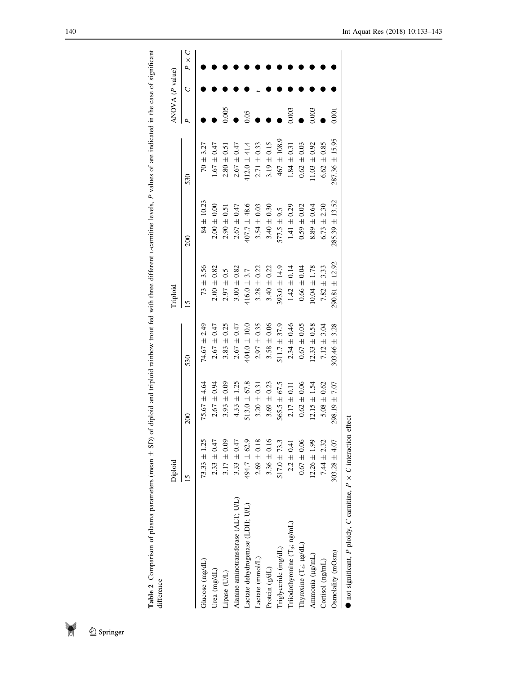<span id="page-7-0"></span>Table 2 Comparison of plasma parameters (mean  $\pm$  SD) of diploid and triploid rainbow trout fed with three different 1-carmitine levels,  $P$  values of are indicated in the case of significant difference **Table 2** Comparison of plasma parameters (mean  $\pm$  SD) of diploid and triploid rainbow trout fed with three different L-carnitine levels, P values of are indicated in the case of significant difference

|                                                                    | Diploid           |                   |                   | Friploid           |                    |                    | ANOVA $(P$ value) |   |              |
|--------------------------------------------------------------------|-------------------|-------------------|-------------------|--------------------|--------------------|--------------------|-------------------|---|--------------|
|                                                                    | 15                | $\approx$         | 530               |                    | 200                | 530                |                   | Ċ | $P \times C$ |
| Glucose (mg/dL)                                                    | $73.33 \pm 1.25$  | $75.67 \pm 4.64$  | $74.67 \pm 2.49$  | $73 + 3.56$        | $84 \pm 10.23$     | $70 \pm 3.27$      |                   |   |              |
| Urea (mg/dL)                                                       | $2.33 \pm 0.47$   | $2.67 \pm 0.94$   | $2.67 \pm 0.47$   | $2.00 \pm 0.82$    | $2.00 \pm 0.00$    | $1.67 \pm 0.47$    |                   |   |              |
| Lipase (UL)                                                        | $3.17 \pm 0.09$   | $3.93 \pm 0.09$   | $3.83 \pm 0.25$   | $2.97 \pm 0.5$     | $2.90 \pm 0.51$    | $2.80 \pm 0.51$    | 0.005             |   |              |
| Alanine aminotransferase (ALT; U/L)                                | $3.33 \pm 0.47$   | $4.33 \pm 1.25$   | $2.67 \pm 0.47$   | $3.00 \pm 0.82$    | $2.67 \pm 0.47$    | $2.67 \pm 0.47$    |                   |   |              |
| Lactate dehydrogenase (LDH; U/L)                                   | $494.7 \pm 62.9$  | $513.0 \pm 67.8$  | $404.0 \pm 10.0$  | $416.0 \pm 3.7$    | $407.7 \pm 48.6$   | $412.0 \pm 41.4$   | 0.05              |   |              |
| Lactate (mmol/L)                                                   | $2.69 \pm 0.18$   | $3.20 \pm 0.31$   | $2.97 \pm 0.35$   | $3.28 \pm 0.22$    | $3.54 \pm 0.03$    | $2.71 \pm 0.33$    |                   |   |              |
| Protein (g/dL)                                                     | $3.36 \pm 0.16$   | $3.69 \pm 0.23$   | $3.58 \pm 0.06$   | $3.40 \pm 0.22$    | $3.40 \pm 0.30$    | $3.19 \pm 0.15$    |                   |   |              |
| Triglyceride (mg/dL)                                               | $517.0 \pm 73.3$  | $565.5 \pm 67.5$  | $511.7 \pm 37.9$  | $393.0 \pm 14.9$   | $577.5 \pm 9.5$    | $467 \pm 108.9$    |                   |   |              |
| Triiodothyronine $(T_3;ng/mL)$                                     | $2.2 \pm 0.41$    | $2.17 \pm 0.11$   | $2.34 \pm 0.46$   | $1.42 \pm 0.14$    | $1.41 \pm 0.29$    | $1.84 \pm 0.31$    | 0.003             |   |              |
| Thyroxine $(T_4; \mu g/dL)$                                        | $0.67 \pm 0.06$   | $0.62 \pm 0.06$   | $0.67 \pm 0.05$   | $0.66 \pm 0.04$    | $0.59 \pm 0.02$    | $0.62 \pm 0.03$    |                   |   |              |
| Ammonia (µg/mL)                                                    | $12.26 \pm 1.99$  | $12.15 \pm 1.54$  | $12.33 \pm 0.58$  | $0.04 \pm 1.78$    | $8.89 \pm 0.64$    | $1.03 \pm 0.92$    | 0.003             |   |              |
| Cortisol (ng/mL)                                                   | $7.44 \pm 2.32$   | $5.08 \pm 0.62$   | $7.12 \pm 3.04$   | 3.33<br>$7.82 \pm$ | $6.73 \pm 2.30$    | $6.62 \pm 0.85$    |                   |   |              |
| Osmolality (mOsm)                                                  | $303.28 \pm 4.07$ | $298.19 \pm 7.07$ | $303.46 \pm 3.28$ | $290.81 \pm 12.92$ | $285.39 \pm 13.52$ | $287.36 \pm 15.95$ | 0.001             |   |              |
| not significant, P ploidy, C carnitine, $P \times C$ interaction e |                   | :ffect            |                   |                    |                    |                    |                   |   |              |

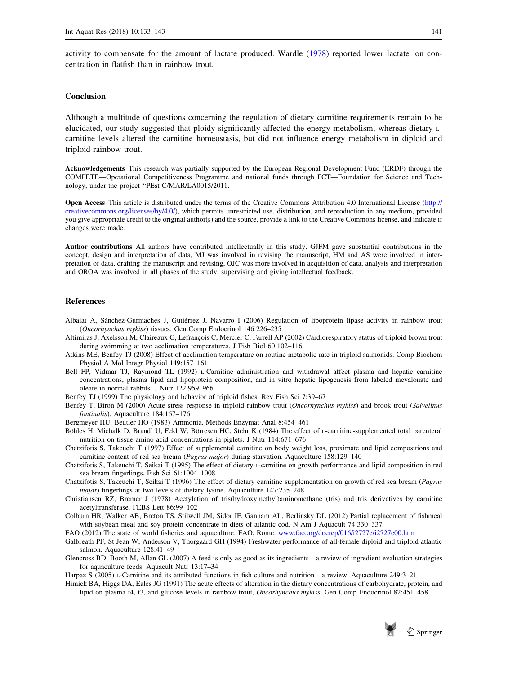<span id="page-8-0"></span>activity to compensate for the amount of lactate produced. Wardle ([1978\)](#page-10-0) reported lower lactate ion concentration in flatfish than in rainbow trout.

## **Conclusion**

Although a multitude of questions concerning the regulation of dietary carnitine requirements remain to be elucidated, our study suggested that ploidy significantly affected the energy metabolism, whereas dietary Lcarnitine levels altered the carnitine homeostasis, but did not influence energy metabolism in diploid and triploid rainbow trout.

Acknowledgements This research was partially supported by the European Regional Development Fund (ERDF) through the COMPETE—Operational Competitiveness Programme and national funds through FCT—Foundation for Science and Technology, under the project ''PEst-C/MAR/LA0015/2011.

Open Access This article is distributed under the terms of the Creative Commons Attribution 4.0 International License [\(http://](http://creativecommons.org/licenses/by/4.0/) [creativecommons.org/licenses/by/4.0/](http://creativecommons.org/licenses/by/4.0/)), which permits unrestricted use, distribution, and reproduction in any medium, provided you give appropriate credit to the original author(s) and the source, provide a link to the Creative Commons license, and indicate if changes were made.

Author contributions All authors have contributed intellectually in this study. GJFM gave substantial contributions in the concept, design and interpretation of data, MJ was involved in revising the manuscript, HM and AS were involved in interpretation of data, drafting the manuscript and revising, OJC was more involved in acquisition of data, analysis and interpretation and OROA was involved in all phases of the study, supervising and giving intellectual feedback.

## References

- Albalat A, Sánchez-Gurmaches J, Gutiérrez J, Navarro I (2006) Regulation of lipoprotein lipase activity in rainbow trout (Oncorhynchus mykiss) tissues. Gen Comp Endocrinol 146:226–235
- Altimiras J, Axelsson M, Claireaux G, Lefrançois C, Mercier C, Farrell AP (2002) Cardiorespiratory status of triploid brown trout during swimming at two acclimation temperatures. J Fish Biol 60:102–116
- Atkins ME, Benfey TJ (2008) Effect of acclimation temperature on routine metabolic rate in triploid salmonids. Comp Biochem Physiol A Mol Integr Physiol 149:157–161
- Bell FP, Vidmar TJ, Raymond TL (1992) L-Carnitine administration and withdrawal affect plasma and hepatic carnitine concentrations, plasma lipid and lipoprotein composition, and in vitro hepatic lipogenesis from labeled mevalonate and oleate in normal rabbits. J Nutr 122:959–966
- Benfey TJ (1999) The physiology and behavior of triploid fishes. Rev Fish Sci 7:39–67
- Benfey T, Biron M (2000) Acute stress response in triploid rainbow trout (Oncorhynchus mykiss) and brook trout (Salvelinus fontinalis). Aquaculture 184:167–176

Bergmeyer HU, Beutler HO (1983) Ammonia. Methods Enzymat Anal 8:454–461

- Böhles H, Michalk D, Brandl U, Fekl W, Börresen HC, Stehr K (1984) The effect of L-carnitine-supplemented total parenteral nutrition on tissue amino acid concentrations in piglets. J Nutr 114:671–676
- Chatzifotis S, Takeuchi T (1997) Effect of supplemental carnitine on body weight loss, proximate and lipid compositions and carnitine content of red sea bream (Pagrus major) during starvation. Aquaculture 158:129–140
- Chatzifotis S, Takeuchi T, Seikai T (1995) The effect of dietary L-carnitine on growth performance and lipid composition in red sea bream fingerlings. Fish Sci 61:1004–1008
- Chatzifotis S, Takeuchi T, Seikai T (1996) The effect of dietary carnitine supplementation on growth of red sea bream (Pagrus major) fingerlings at two levels of dietary lysine. Aquaculture 147:235–248
- Christiansen RZ, Bremer J (1978) Acetylation of tris(hydroxymethyl)aminomethane (tris) and tris derivatives by carnitine acetyltransferase. FEBS Lett 86:99–102
- Colburn HR, Walker AB, Breton TS, Stilwell JM, Sidor IF, Gannam AL, Berlinsky DL (2012) Partial replacement of fishmeal with soybean meal and soy protein concentrate in diets of atlantic cod. N Am J Aquacult 74:330-337
- FAO (2012) The state of world fisheries and aquaculture. FAO, Rome. [www.fao.org/docrep/016/i2727e/i2727e00.htm](http://www.fao.org/docrep/016/i2727e/i2727e00.htm)
- Galbreath PF, St Jean W, Anderson V, Thorgaard GH (1994) Freshwater performance of all-female diploid and triploid atlantic salmon. Aquaculture 128:41–49
- Glencross BD, Booth M, Allan GL (2007) A feed is only as good as its ingredients—a review of ingredient evaluation strategies for aquaculture feeds. Aquacult Nutr 13:17–34
- Harpaz S (2005) L-Carnitine and its attributed functions in fish culture and nutrition—a review. Aquaculture 249:3–21
- Himick BA, Higgs DA, Eales JG (1991) The acute effects of alteration in the dietary concentrations of carbohydrate, protein, and lipid on plasma t4, t3, and glucose levels in rainbow trout, Oncorhynchus mykiss. Gen Comp Endocrinol 82:451-458

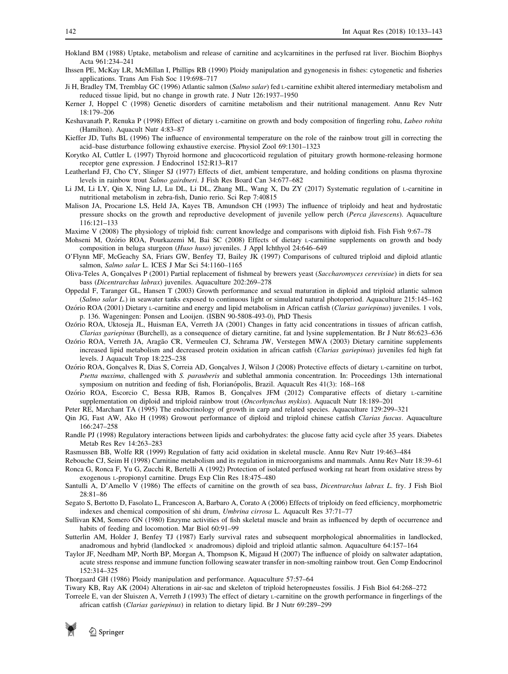- <span id="page-9-0"></span>Hokland BM (1988) Uptake, metabolism and release of carnitine and acylcarnitines in the perfused rat liver. Biochim Biophys Acta 961:234–241
- Ihssen PE, McKay LR, McMillan I, Phillips RB (1990) Ploidy manipulation and gynogenesis in fishes: cytogenetic and fisheries applications. Trans Am Fish Soc 119:698–717
- Ji H, Bradley TM, Tremblay GC (1996) Atlantic salmon (Salmo salar) fed L-carnitine exhibit altered intermediary metabolism and reduced tissue lipid, but no change in growth rate. J Nutr 126:1937–1950
- Kerner J, Hoppel C (1998) Genetic disorders of carnitine metabolism and their nutritional management. Annu Rev Nutr 18:179–206
- Keshavanath P, Renuka P (1998) Effect of dietary L-carnitine on growth and body composition of fingerling rohu, Labeo rohita (Hamilton). Aquacult Nutr 4:83–87
- Kieffer JD, Tufts BL (1996) The influence of environmental temperature on the role of the rainbow trout gill in correcting the acid–base disturbance following exhaustive exercise. Physiol Zool 69:1301–1323
- Korytko AI, Cuttler L (1997) Thyroid hormone and glucocorticoid regulation of pituitary growth hormone-releasing hormone receptor gene expression. J Endocrinol 152:R13–R17
- Leatherland FJ, Cho CY, Slinger SJ (1977) Effects of diet, ambient temperature, and holding conditions on plasma thyroxine levels in rainbow trout Salmo gairdneri. J Fish Res Board Can 34:677–682
- Li JM, Li LY, Qin X, Ning LJ, Lu DL, Li DL, Zhang ML, Wang X, Du ZY (2017) Systematic regulation of L-carnitine in nutritional metabolism in zebra-fish, Danio rerio. Sci Rep 7:40815
- Malison JA, Procarione LS, Held JA, Kayes TB, Amundson CH (1993) The influence of triploidy and heat and hydrostatic pressure shocks on the growth and reproductive development of juvenile yellow perch (Perca jlavescens). Aquaculture 116:121–133
- Maxime V (2008) The physiology of triploid fish: current knowledge and comparisons with diploid fish. Fish Fish 9:67–78
- Mohseni M, Ozório ROA, Pourkazemi M, Bai SC (2008) Effects of dietary L-carnitine supplements on growth and body composition in beluga sturgeon (Huso huso) juveniles. J Appl Ichthyol 24:646–649
- O'Flynn MF, McGeachy SA, Friars GW, Benfey TJ, Bailey JK (1997) Comparisons of cultured triploid and diploid atlantic salmon, Salmo salar L. ICES J Mar Sci 54:1160-1165
- Oliva-Teles A, Gonçalves P (2001) Partial replacement of fishmeal by brewers yeast (Saccharomyces cerevisiae) in diets for sea bass (Dicentrarchus labrax) juveniles. Aquaculture 202:269–278
- Oppedal F, Taranger GL, Hansen T (2003) Growth performance and sexual maturation in diploid and triploid atlantic salmon (Salmo salar L.) in seawater tanks exposed to continuous light or simulated natural photoperiod. Aquaculture 215:145–162
- Ozório ROA (2001) Dietary L-carnitine and energy and lipid metabolism in African catfish (Clarias gariepinus) juveniles. 1 vols, p. 136. Wageningen: Ponsen and Looijen. (ISBN 90-5808-493-0), PhD Thesis
- Ozório ROA, Uktoseja JL, Huisman EA, Verreth JA (2001) Changes in fatty acid concentrations in tissues of african catfish, Clarias gariepinus (Burchell), as a consequence of dietary carnitine, fat and lysine supplementation. Br J Nutr 86:623–636
- Ozório ROA, Verreth JA, Aragão CR, Vermeulen CJ, Schrama JW, Verstegen MWA (2003) Dietary carnitine supplements increased lipid metabolism and decreased protein oxidation in african catfish (Clarias gariepinus) juveniles fed high fat levels. J Aquacult Trop 18:225–238
- Ozório ROA, Gonçalves R, Dias S, Correia AD, Gonçalves J, Wilson J (2008) Protective effects of dietary L-carnitine on turbot, Psetta maxima, challenged with S. parauberis and sublethal ammonia concentration. In: Proceedings 13th international symposium on nutrition and feeding of fish, Florianopolis, Brazil. Aquacult Res 41(3): 168–168
- Ozório ROA, Escorcio C, Bessa RJB, Ramos B, Gonçalves JFM (2012) Comparative effects of dietary L-carnitine supplementation on diploid and triploid rainbow trout (*Oncorhynchus mykiss*). Aquacult Nutr 18:189–201
- Peter RE, Marchant TA (1995) The endocrinology of growth in carp and related species. Aquaculture 129:299–321
- Qin JG, Fast AW, Ako H (1998) Growout performance of diploid and triploid chinese catfish Clarias fuscus. Aquaculture 166:247–258
- Randle PJ (1998) Regulatory interactions between lipids and carbohydrates: the glucose fatty acid cycle after 35 years. Diabetes Metab Res Rev 14:263–283
- Rasmussen BB, Wolfe RR (1999) Regulation of fatty acid oxidation in skeletal muscle. Annu Rev Nutr 19:463–484
- Rebouche CJ, Seim H (1998) Carnitine metabolism and its regulation in microorganisms and mammals. Annu Rev Nutr 18:39–61 Ronca G, Ronca F, Yu G, Zucchi R, Bertelli A (1992) Protection of isolated perfused working rat heart from oxidative stress by
- exogenous L-propionyl carnitine. Drugs Exp Clin Res 18:475–480 Santulli A, D'Amello V (1986) The effects of carnitine on the growth of sea bass, Dicentrarchus labrax L. fry. J Fish Biol 28:81–86
- Segato S, Bertotto D, Fasolato L, Francescon A, Barbaro A, Corato A (2006) Effects of triploidy on feed efficiency, morphometric indexes and chemical composition of shi drum, Umbrina cirrosa L. Aquacult Res 37:71–77
- Sullivan KM, Somero GN (1980) Enzyme activities of fish skeletal muscle and brain as influenced by depth of occurrence and habits of feeding and locomotion. Mar Biol 60:91–99
- Sutterlin AM, Holder J, Benfey TJ (1987) Early survival rates and subsequent morphological abnormalities in landlocked, anadromous and hybrid (landlocked  $\times$  anadromous) diploid and triploid atlantic salmon. Aquaculture 64:157–164
- Taylor JF, Needham MP, North BP, Morgan A, Thompson K, Migaud H (2007) The influence of ploidy on saltwater adaptation, acute stress response and immune function following seawater transfer in non-smolting rainbow trout. Gen Comp Endocrinol 152:314–325

Thorgaard GH (1986) Ploidy manipulation and performance. Aquaculture 57:57–64

- Tiwary KB, Ray AK (2004) Alterations in air-sac and skeleton of triploid heteropneustes fossilis. J Fish Biol 64:268–272
- Torreele E, van der Sluiszen A, Verreth J (1993) The effect of dietary L-carnitine on the growth performance in fingerlings of the african catfish (Clarias gariepinus) in relation to dietary lipid. Br J Nutr 69:289–299